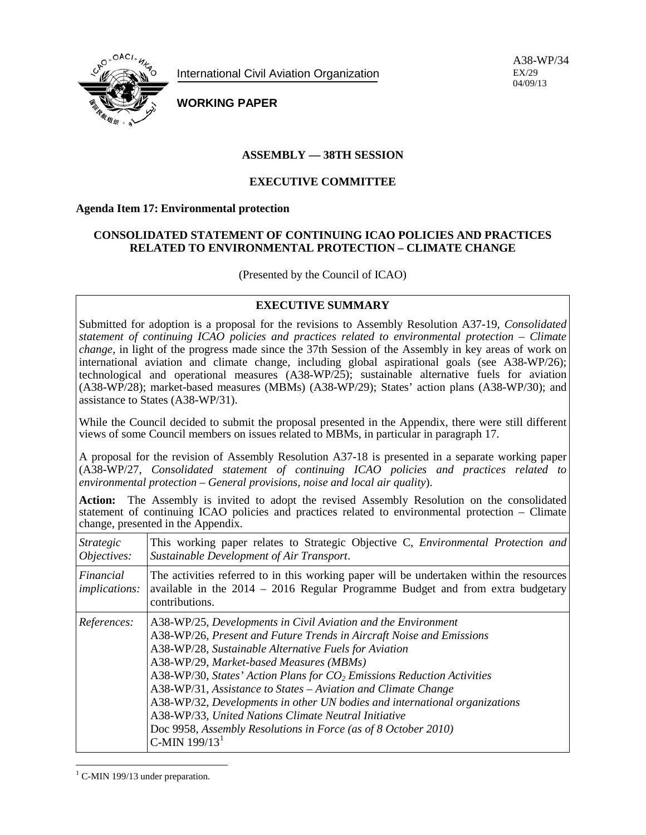

International Civil Aviation Organization

A38-WP/34 EX/29 04/09/13

**WORKING PAPER**

## **ASSEMBLY — 38TH SESSION**

## **EXECUTIVE COMMITTEE**

#### **Agenda Item 17: Environmental protection**

## **CONSOLIDATED STATEMENT OF CONTINUING ICAO POLICIES AND PRACTICES RELATED TO ENVIRONMENTAL PROTECTION – CLIMATE CHANGE**

(Presented by the Council of ICAO)

## **EXECUTIVE SUMMARY**

Submitted for adoption is a proposal for the revisions to Assembly Resolution A37-19, *Consolidated statement of continuing ICAO policies and practices related to environmental protection – Climate change*, in light of the progress made since the 37th Session of the Assembly in key areas of work on international aviation and climate change, including global aspirational goals (see A38-WP/26); technological and operational measures (A38-WP/25); sustainable alternative fuels for aviation (A38-WP/28); market-based measures (MBMs) (A38-WP/29); States' action plans (A38-WP/30); and assistance to States (A38-WP/31).

While the Council decided to submit the proposal presented in the Appendix, there were still different views of some Council members on issues related to MBMs, in particular in paragraph 17.

A proposal for the revision of Assembly Resolution A37-18 is presented in a separate working paper (A38-WP/27, *Consolidated statement of continuing ICAO policies and practices related to environmental protection – General provisions, noise and local air quality*).

**Action:** The Assembly is invited to adopt the revised Assembly Resolution on the consolidated statement of continuing ICAO policies and practices related to environmental protection – Climate change, presented in the Appendix.

| <i>Strategic</i><br>Objectives:   | This working paper relates to Strategic Objective C, <i>Environmental Protection and</i><br>Sustainable Development of Air Transport.                                                                                                                                                                                                                                                                                                                                                                                                                                                                             |
|-----------------------------------|-------------------------------------------------------------------------------------------------------------------------------------------------------------------------------------------------------------------------------------------------------------------------------------------------------------------------------------------------------------------------------------------------------------------------------------------------------------------------------------------------------------------------------------------------------------------------------------------------------------------|
| Financial<br><i>implications:</i> | The activities referred to in this working paper will be undertaken within the resources<br>available in the $2014 - 2016$ Regular Programme Budget and from extra budgetary<br>contributions.                                                                                                                                                                                                                                                                                                                                                                                                                    |
| References:                       | A38-WP/25, Developments in Civil Aviation and the Environment<br>A38-WP/26, Present and Future Trends in Aircraft Noise and Emissions<br>A38-WP/28, Sustainable Alternative Fuels for Aviation<br>A38-WP/29, Market-based Measures (MBMs)<br>A38-WP/30, States' Action Plans for $CO2$ Emissions Reduction Activities<br>A38-WP/31, Assistance to States - Aviation and Climate Change<br>A38-WP/32, Developments in other UN bodies and international organizations<br>A38-WP/33, United Nations Climate Neutral Initiative<br>Doc 9958, Assembly Resolutions in Force (as of 8 October 2010)<br>C-MIN $199/131$ |

<span id="page-0-0"></span> $<sup>1</sup>$  C-MIN 199/13 under preparation.</sup>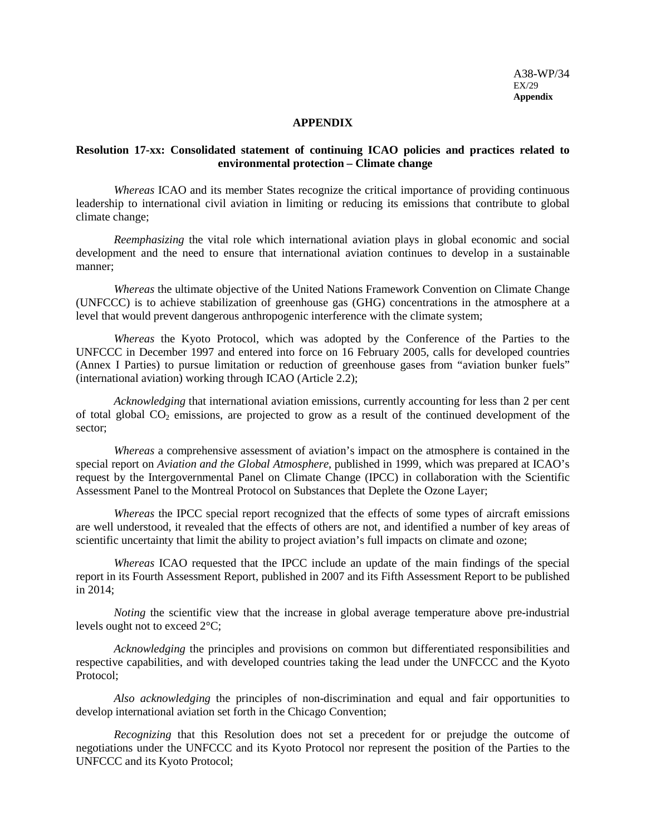A38-WP/34 EX/29 **Appendix** 

#### **APPENDIX**

#### **Resolution 17-xx: Consolidated statement of continuing ICAO policies and practices related to environmental protection – Climate change**

*Whereas* ICAO and its member States recognize the critical importance of providing continuous leadership to international civil aviation in limiting or reducing its emissions that contribute to global climate change;

*Reemphasizing* the vital role which international aviation plays in global economic and social development and the need to ensure that international aviation continues to develop in a sustainable manner;

*Whereas* the ultimate objective of the United Nations Framework Convention on Climate Change (UNFCCC) is to achieve stabilization of greenhouse gas (GHG) concentrations in the atmosphere at a level that would prevent dangerous anthropogenic interference with the climate system;

*Whereas* the Kyoto Protocol, which was adopted by the Conference of the Parties to the UNFCCC in December 1997 and entered into force on 16 February 2005, calls for developed countries (Annex I Parties) to pursue limitation or reduction of greenhouse gases from "aviation bunker fuels" (international aviation) working through ICAO (Article 2.2);

*Acknowledging* that international aviation emissions, currently accounting for less than 2 per cent of total global  $CO<sub>2</sub>$  emissions, are projected to grow as a result of the continued development of the sector;

*Whereas* a comprehensive assessment of aviation's impact on the atmosphere is contained in the special report on *Aviation and the Global Atmosphere*, published in 1999, which was prepared at ICAO's request by the Intergovernmental Panel on Climate Change (IPCC) in collaboration with the Scientific Assessment Panel to the Montreal Protocol on Substances that Deplete the Ozone Layer;

*Whereas* the IPCC special report recognized that the effects of some types of aircraft emissions are well understood, it revealed that the effects of others are not, and identified a number of key areas of scientific uncertainty that limit the ability to project aviation's full impacts on climate and ozone;

*Whereas* ICAO requested that the IPCC include an update of the main findings of the special report in its Fourth Assessment Report, published in 2007 and its Fifth Assessment Report to be published in 2014;

*Noting* the scientific view that the increase in global average temperature above pre-industrial levels ought not to exceed 2°C;

*Acknowledging* the principles and provisions on common but differentiated responsibilities and respective capabilities, and with developed countries taking the lead under the UNFCCC and the Kyoto Protocol;

*Also acknowledging* the principles of non-discrimination and equal and fair opportunities to develop international aviation set forth in the Chicago Convention;

*Recognizing* that this Resolution does not set a precedent for or prejudge the outcome of negotiations under the UNFCCC and its Kyoto Protocol nor represent the position of the Parties to the UNFCCC and its Kyoto Protocol;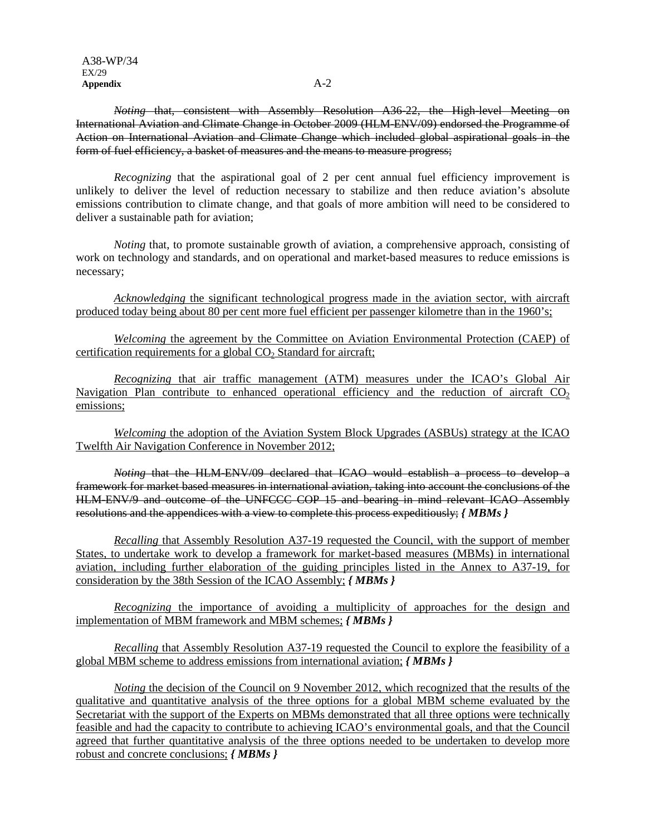*Noting* that, consistent with Assembly Resolution A36-22, the High-level Meeting on International Aviation and Climate Change in October 2009 (HLM-ENV/09) endorsed the Programme of Action on International Aviation and Climate Change which included global aspirational goals in the form of fuel efficiency, a basket of measures and the means to measure progress;

*Recognizing* that the aspirational goal of 2 per cent annual fuel efficiency improvement is unlikely to deliver the level of reduction necessary to stabilize and then reduce aviation's absolute emissions contribution to climate change, and that goals of more ambition will need to be considered to deliver a sustainable path for aviation;

*Noting* that, to promote sustainable growth of aviation, a comprehensive approach, consisting of work on technology and standards, and on operational and market-based measures to reduce emissions is necessary;

*Acknowledging* the significant technological progress made in the aviation sector, with aircraft produced today being about 80 per cent more fuel efficient per passenger kilometre than in the 1960's;

*Welcoming* the agreement by the Committee on Aviation Environmental Protection (CAEP) of certification requirements for a global  $CO<sub>2</sub>$  Standard for aircraft;

*Recognizing* that air traffic management (ATM) measures under the ICAO's Global Air Navigation Plan contribute to enhanced operational efficiency and the reduction of aircraft  $CO<sub>2</sub>$ emissions;

*Welcoming* the adoption of the Aviation System Block Upgrades (ASBUs) strategy at the ICAO Twelfth Air Navigation Conference in November 2012;

*Noting* that the HLM-ENV/09 declared that ICAO would establish a process to develop a framework for market based measures in international aviation, taking into account the conclusions of the HLM-ENV/9 and outcome of the UNFCCC COP 15 and bearing in mind relevant ICAO Assembly resolutions and the appendices with a view to complete this process expeditiously; *{ MBMs }*

*Recalling* that Assembly Resolution A37-19 requested the Council, with the support of member States, to undertake work to develop a framework for market-based measures (MBMs) in international aviation, including further elaboration of the guiding principles listed in the Annex to A37-19, for consideration by the 38th Session of the ICAO Assembly; *{ MBMs }*

*Recognizing* the importance of avoiding a multiplicity of approaches for the design and implementation of MBM framework and MBM schemes; *{ MBMs }*

*Recalling* that Assembly Resolution A37-19 requested the Council to explore the feasibility of a global MBM scheme to address emissions from international aviation; *{ MBMs }*

*Noting* the decision of the Council on 9 November 2012, which recognized that the results of the qualitative and quantitative analysis of the three options for a global MBM scheme evaluated by the Secretariat with the support of the Experts on MBMs demonstrated that all three options were technically feasible and had the capacity to contribute to achieving ICAO's environmental goals, and that the Council agreed that further quantitative analysis of the three options needed to be undertaken to develop more robust and concrete conclusions; *{ MBMs }*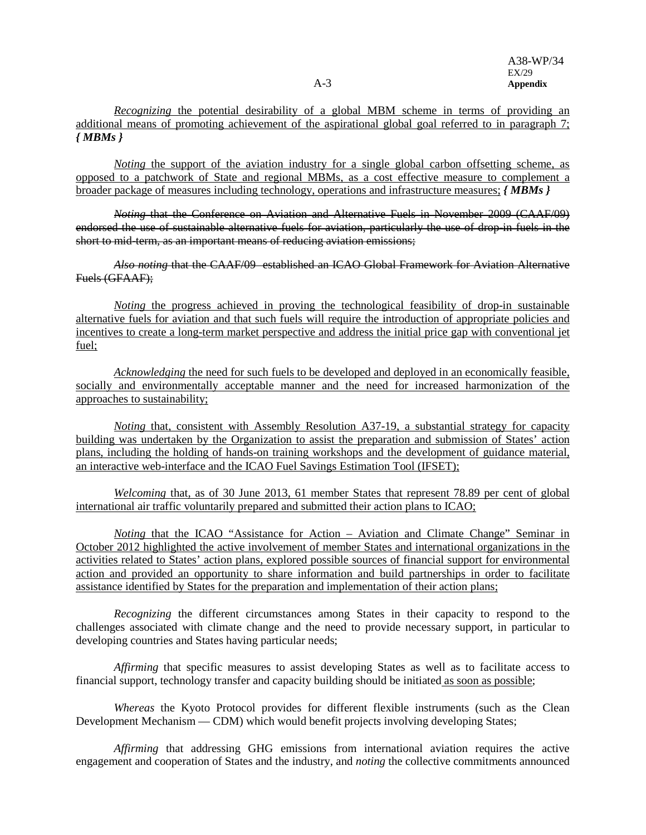*Recognizing* the potential desirability of a global MBM scheme in terms of providing an additional means of promoting achievement of the aspirational global goal referred to in paragraph 7; *{ MBMs }*

*Noting* the support of the aviation industry for a single global carbon offsetting scheme, as opposed to a patchwork of State and regional MBMs, as a cost effective measure to complement a broader package of measures including technology, operations and infrastructure measures; *{ MBMs }*

*Noting* that the Conference on Aviation and Alternative Fuels in November 2009 (CAAF/09) endorsed the use of sustainable alternative fuels for aviation, particularly the use of drop-in fuels in the short to mid-term, as an important means of reducing aviation emissions;

*Also noting* that the CAAF/09 established an ICAO Global Framework for Aviation Alternative Fuels (GFAAF);

*Noting* the progress achieved in proving the technological feasibility of drop-in sustainable alternative fuels for aviation and that such fuels will require the introduction of appropriate policies and incentives to create a long-term market perspective and address the initial price gap with conventional jet fuel;

*Acknowledging* the need for such fuels to be developed and deployed in an economically feasible, socially and environmentally acceptable manner and the need for increased harmonization of the approaches to sustainability;

*Noting* that, consistent with Assembly Resolution A37-19, a substantial strategy for capacity building was undertaken by the Organization to assist the preparation and submission of States' action plans, including the holding of hands-on training workshops and the development of guidance material, an interactive web-interface and the ICAO Fuel Savings Estimation Tool (IFSET);

*Welcoming* that, as of 30 June 2013, 61 member States that represent 78.89 per cent of global international air traffic voluntarily prepared and submitted their action plans to ICAO;

*Noting* that the ICAO "Assistance for Action – Aviation and Climate Change" Seminar in October 2012 highlighted the active involvement of member States and international organizations in the activities related to States' action plans, explored possible sources of financial support for environmental action and provided an opportunity to share information and build partnerships in order to facilitate assistance identified by States for the preparation and implementation of their action plans;

*Recognizing* the different circumstances among States in their capacity to respond to the challenges associated with climate change and the need to provide necessary support, in particular to developing countries and States having particular needs;

*Affirming* that specific measures to assist developing States as well as to facilitate access to financial support, technology transfer and capacity building should be initiated as soon as possible;

*Whereas* the Kyoto Protocol provides for different flexible instruments (such as the Clean Development Mechanism — CDM) which would benefit projects involving developing States;

*Affirming* that addressing GHG emissions from international aviation requires the active engagement and cooperation of States and the industry, and *noting* the collective commitments announced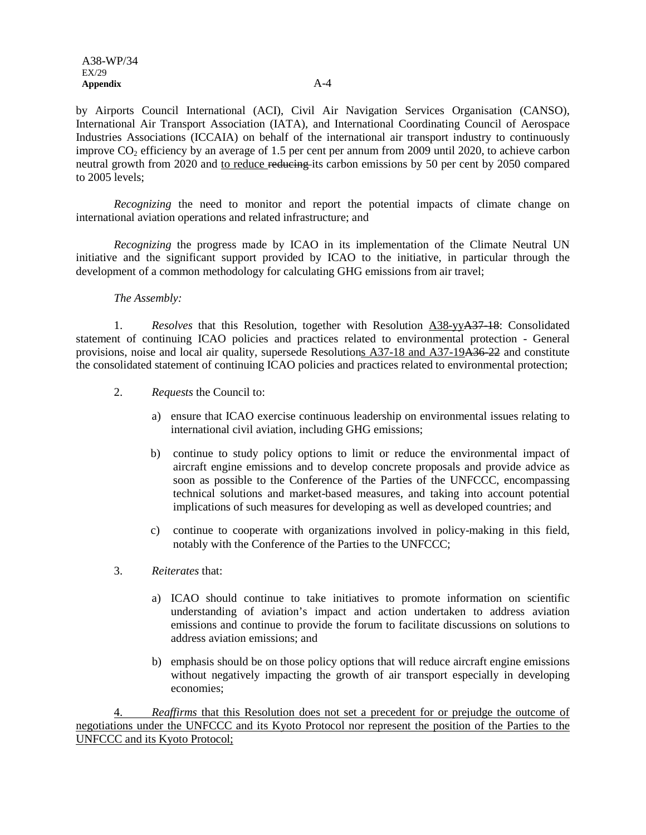by Airports Council International (ACI), Civil Air Navigation Services Organisation (CANSO), International Air Transport Association (IATA), and International Coordinating Council of Aerospace Industries Associations (ICCAIA) on behalf of the international air transport industry to continuously improve  $CO<sub>2</sub>$  efficiency by an average of 1.5 per cent per annum from 2009 until 2020, to achieve carbon neutral growth from 2020 and to reduce reducing its carbon emissions by 50 per cent by 2050 compared to 2005 levels;

*Recognizing* the need to monitor and report the potential impacts of climate change on international aviation operations and related infrastructure; and

*Recognizing* the progress made by ICAO in its implementation of the Climate Neutral UN initiative and the significant support provided by ICAO to the initiative, in particular through the development of a common methodology for calculating GHG emissions from air travel;

#### *The Assembly:*

1. *Resolves* that this Resolution, together with Resolution A38-yyA37-18: Consolidated statement of continuing ICAO policies and practices related to environmental protection - General provisions, noise and local air quality, supersede Resolutions A37-18 and A37-19A36-22 and constitute the consolidated statement of continuing ICAO policies and practices related to environmental protection;

- 2. *Requests* the Council to:
	- a) ensure that ICAO exercise continuous leadership on environmental issues relating to international civil aviation, including GHG emissions;
	- b) continue to study policy options to limit or reduce the environmental impact of aircraft engine emissions and to develop concrete proposals and provide advice as soon as possible to the Conference of the Parties of the UNFCCC, encompassing technical solutions and market-based measures, and taking into account potential implications of such measures for developing as well as developed countries; and
	- c) continue to cooperate with organizations involved in policy-making in this field, notably with the Conference of the Parties to the UNFCCC;
- 3. *Reiterates* that:
	- a) ICAO should continue to take initiatives to promote information on scientific understanding of aviation's impact and action undertaken to address aviation emissions and continue to provide the forum to facilitate discussions on solutions to address aviation emissions; and
	- b) emphasis should be on those policy options that will reduce aircraft engine emissions without negatively impacting the growth of air transport especially in developing economies;

4. *Reaffirms* that this Resolution does not set a precedent for or prejudge the outcome of negotiations under the UNFCCC and its Kyoto Protocol nor represent the position of the Parties to the UNFCCC and its Kyoto Protocol;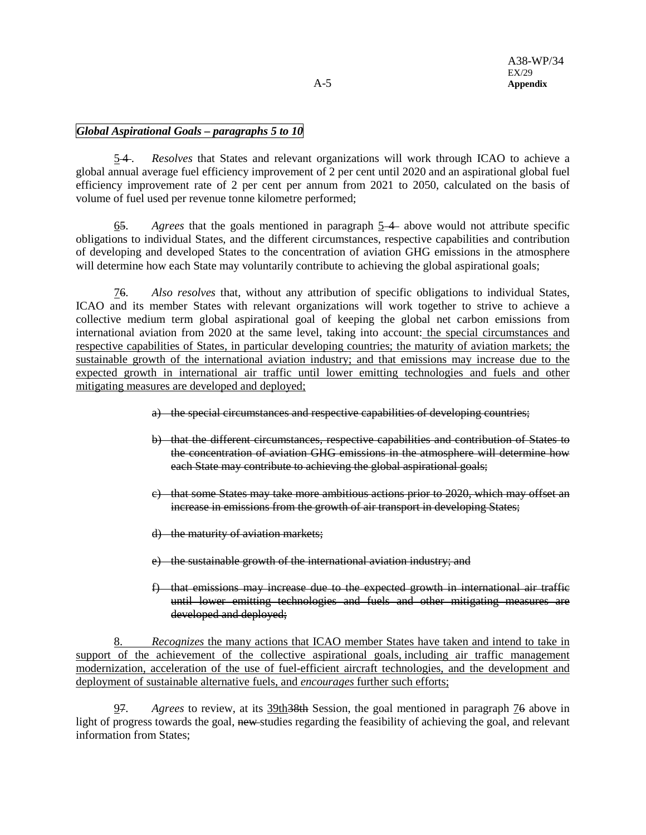# *Global Aspirational Goals – paragraphs 5 to 10*

5 4 . *Resolves* that States and relevant organizations will work through ICAO to achieve a global annual average fuel efficiency improvement of 2 per cent until 2020 and an aspirational global fuel efficiency improvement rate of 2 per cent per annum from 2021 to 2050, calculated on the basis of volume of fuel used per revenue tonne kilometre performed;

65. *Agrees* that the goals mentioned in paragraph 5 4 above would not attribute specific obligations to individual States, and the different circumstances, respective capabilities and contribution of developing and developed States to the concentration of aviation GHG emissions in the atmosphere will determine how each State may voluntarily contribute to achieving the global aspirational goals;

76. *Also resolves* that, without any attribution of specific obligations to individual States, ICAO and its member States with relevant organizations will work together to strive to achieve a collective medium term global aspirational goal of keeping the global net carbon emissions from international aviation from 2020 at the same level, taking into account: the special circumstances and respective capabilities of States, in particular developing countries; the maturity of aviation markets; the sustainable growth of the international aviation industry; and that emissions may increase due to the expected growth in international air traffic until lower emitting technologies and fuels and other mitigating measures are developed and deployed;

- a) the special circumstances and respective capabilities of developing countries;
- b) that the different circumstances, respective capabilities and contribution of States to the concentration of aviation GHG emissions in the atmosphere will determine how each State may contribute to achieving the global aspirational goals;
- c) that some States may take more ambitious actions prior to 2020, which may offset an increase in emissions from the growth of air transport in developing States;
- d) the maturity of aviation markets;
- e) the sustainable growth of the international aviation industry; and
- f) that emissions may increase due to the expected growth in international air traffic until lower emitting technologies and fuels and other mitigating measures are developed and deployed;

8. *Recognizes* the many actions that ICAO member States have taken and intend to take in support of the achievement of the collective aspirational goals, including air traffic management modernization, acceleration of the use of fuel-efficient aircraft technologies, and the development and deployment of sustainable alternative fuels, and *encourages* further such efforts;

97. *Agrees* to review, at its 39th38th Session, the goal mentioned in paragraph 76 above in light of progress towards the goal, new studies regarding the feasibility of achieving the goal, and relevant information from States;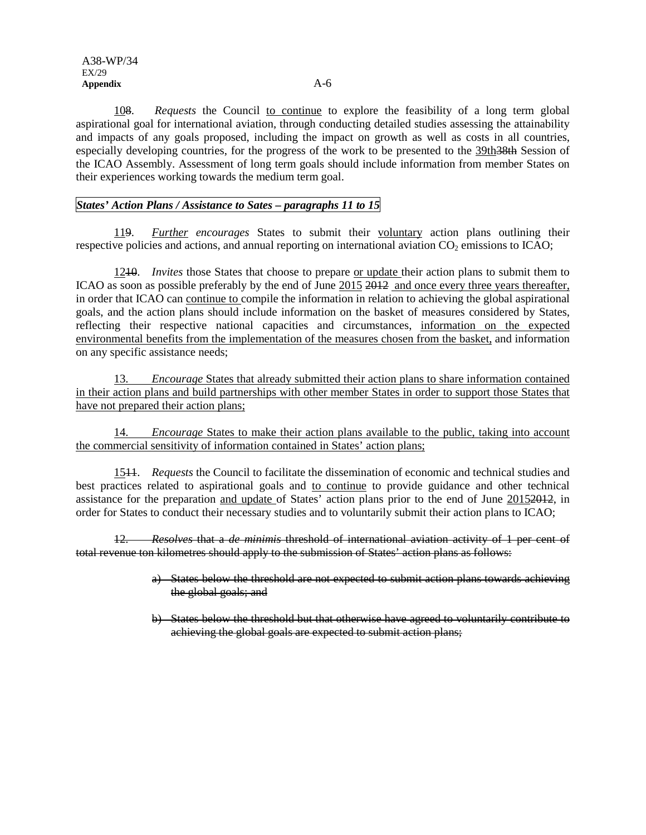108. *Requests* the Council to continue to explore the feasibility of a long term global aspirational goal for international aviation, through conducting detailed studies assessing the attainability and impacts of any goals proposed, including the impact on growth as well as costs in all countries, especially developing countries, for the progress of the work to be presented to the 39th 38th Session of the ICAO Assembly. Assessment of long term goals should include information from member States on their experiences working towards the medium term goal.

## *States' Action Plans / Assistance to Sates – paragraphs 11 to 15*

119. *Further encourages* States to submit their voluntary action plans outlining their respective policies and actions, and annual reporting on international aviation  $CO<sub>2</sub>$  emissions to ICAO;

1210. *Invites* those States that choose to prepare or update their action plans to submit them to ICAO as soon as possible preferably by the end of June 2015 2012 and once every three years thereafter, in order that ICAO can continue to compile the information in relation to achieving the global aspirational goals, and the action plans should include information on the basket of measures considered by States, reflecting their respective national capacities and circumstances, information on the expected environmental benefits from the implementation of the measures chosen from the basket, and information on any specific assistance needs;

13. *Encourage* States that already submitted their action plans to share information contained in their action plans and build partnerships with other member States in order to support those States that have not prepared their action plans;

14. *Encourage* States to make their action plans available to the public, taking into account the commercial sensitivity of information contained in States' action plans;

1511. *Requests* the Council to facilitate the dissemination of economic and technical studies and best practices related to aspirational goals and to continue to provide guidance and other technical assistance for the preparation and update of States' action plans prior to the end of June 20152012, in order for States to conduct their necessary studies and to voluntarily submit their action plans to ICAO;

12. *Resolves* that a *de minimis* threshold of international aviation activity of 1 per cent of total revenue ton kilometres should apply to the submission of States' action plans as follows:

- a) States below the threshold are not expected to submit action plans towards achieving the global goals; and
- b) States below the threshold but that otherwise have agreed to voluntarily contribute to achieving the global goals are expected to submit action plans;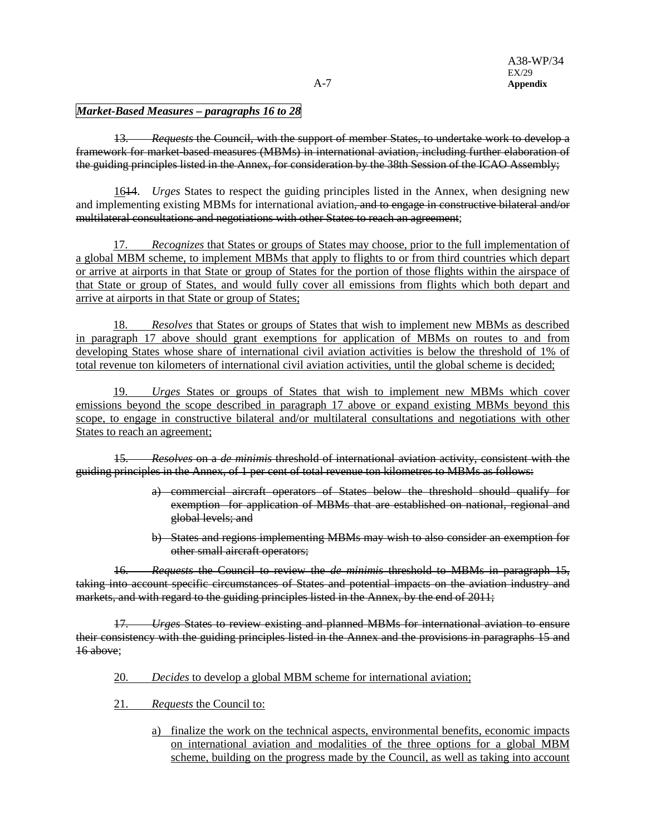# *Market-Based Measures – paragraphs 16 to 28*

13. *Requests* the Council, with the support of member States, to undertake work to develop a framework for market-based measures (MBMs) in international aviation, including further elaboration of the guiding principles listed in the Annex, for consideration by the 38th Session of the ICAO Assembly;

1614. *Urges* States to respect the guiding principles listed in the Annex, when designing new and implementing existing MBMs for international aviation, and to engage in constructive bilateral and/or multilateral consultations and negotiations with other States to reach an agreement;

17. *Recognizes* that States or groups of States may choose, prior to the full implementation of a global MBM scheme, to implement MBMs that apply to flights to or from third countries which depart or arrive at airports in that State or group of States for the portion of those flights within the airspace of that State or group of States, and would fully cover all emissions from flights which both depart and arrive at airports in that State or group of States;

18. *Resolves* that States or groups of States that wish to implement new MBMs as described in paragraph 17 above should grant exemptions for application of MBMs on routes to and from developing States whose share of international civil aviation activities is below the threshold of 1% of total revenue ton kilometers of international civil aviation activities, until the global scheme is decided;

19. *Urges* States or groups of States that wish to implement new MBMs which cover emissions beyond the scope described in paragraph 17 above or expand existing MBMs beyond this scope, to engage in constructive bilateral and/or multilateral consultations and negotiations with other States to reach an agreement;

15. *Resolves* on a *de minimis* threshold of international aviation activity, consistent with the guiding principles in the Annex, of 1 per cent of total revenue ton kilometres to MBMs as follows:

- a) commercial aircraft operators of States below the threshold should qualify for exemption for application of MBMs that are established on national, regional and global levels; and
- b) States and regions implementing MBMs may wish to also consider an exemption for other small aircraft operators;

16. *Requests* the Council to review the *de minimis* threshold to MBMs in paragraph 15, taking into account specific circumstances of States and potential impacts on the aviation industry and markets, and with regard to the guiding principles listed in the Annex, by the end of 2011;

17. *Urges* States to review existing and planned MBMs for international aviation to ensure their consistency with the guiding principles listed in the Annex and the provisions in paragraphs 15 and 16 above;

- 20. *Decides* to develop a global MBM scheme for international aviation;
- 21. *Requests* the Council to:
	- a) finalize the work on the technical aspects, environmental benefits, economic impacts on international aviation and modalities of the three options for a global MBM scheme, building on the progress made by the Council, as well as taking into account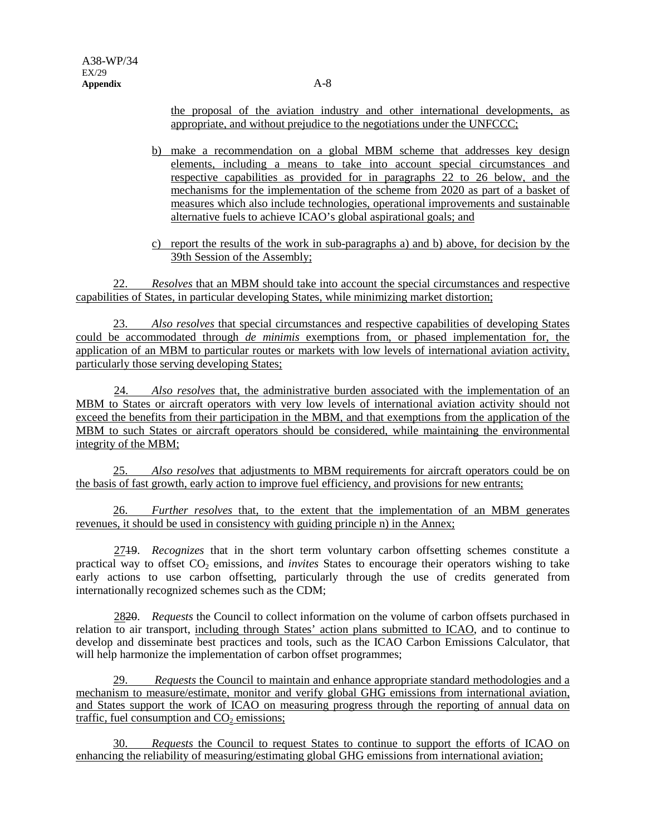the proposal of the aviation industry and other international developments, as appropriate, and without prejudice to the negotiations under the UNFCCC;

- b) make a recommendation on a global MBM scheme that addresses key design elements, including a means to take into account special circumstances and respective capabilities as provided for in paragraphs 22 to 26 below, and the mechanisms for the implementation of the scheme from 2020 as part of a basket of measures which also include technologies, operational improvements and sustainable alternative fuels to achieve ICAO's global aspirational goals; and
- c) report the results of the work in sub-paragraphs a) and b) above, for decision by the 39th Session of the Assembly;

22. *Resolves* that an MBM should take into account the special circumstances and respective capabilities of States, in particular developing States, while minimizing market distortion;

23. *Also resolves* that special circumstances and respective capabilities of developing States could be accommodated through *de minimis* exemptions from, or phased implementation for, the application of an MBM to particular routes or markets with low levels of international aviation activity, particularly those serving developing States;

24. *Also resolves* that, the administrative burden associated with the implementation of an MBM to States or aircraft operators with very low levels of international aviation activity should not exceed the benefits from their participation in the MBM, and that exemptions from the application of the MBM to such States or aircraft operators should be considered, while maintaining the environmental integrity of the MBM;

25. *Also resolves* that adjustments to MBM requirements for aircraft operators could be on the basis of fast growth, early action to improve fuel efficiency, and provisions for new entrants;

26. *Further resolves* that, to the extent that the implementation of an MBM generates revenues, it should be used in consistency with guiding principle n) in the Annex;

2719. *Recognizes* that in the short term voluntary carbon offsetting schemes constitute a practical way to offset CO<sub>2</sub> emissions, and *invites* States to encourage their operators wishing to take early actions to use carbon offsetting, particularly through the use of credits generated from internationally recognized schemes such as the CDM;

2820. *Requests* the Council to collect information on the volume of carbon offsets purchased in relation to air transport, including through States' action plans submitted to ICAO, and to continue to develop and disseminate best practices and tools, such as the ICAO Carbon Emissions Calculator, that will help harmonize the implementation of carbon offset programmes;

29. *Requests* the Council to maintain and enhance appropriate standard methodologies and a mechanism to measure/estimate, monitor and verify global GHG emissions from international aviation, and States support the work of ICAO on measuring progress through the reporting of annual data on traffic, fuel consumption and  $CO<sub>2</sub>$  emissions;

30. *Requests* the Council to request States to continue to support the efforts of ICAO on enhancing the reliability of measuring/estimating global GHG emissions from international aviation;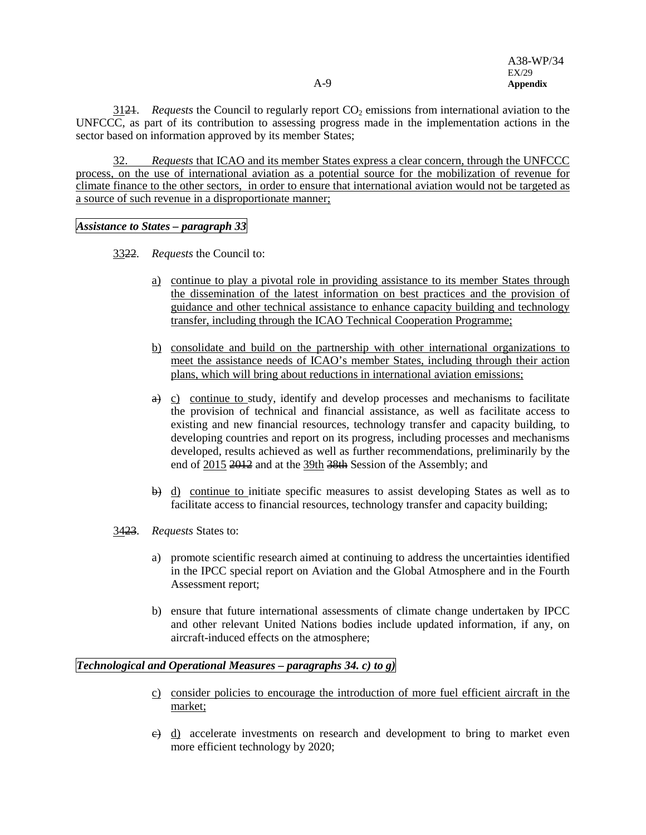$3124$ . *Requests* the Council to regularly report  $CO<sub>2</sub>$  emissions from international aviation to the UNFCCC, as part of its contribution to assessing progress made in the implementation actions in the sector based on information approved by its member States;

32. *Requests* that ICAO and its member States express a clear concern, through the UNFCCC process, on the use of international aviation as a potential source for the mobilization of revenue for climate finance to the other sectors, in order to ensure that international aviation would not be targeted as a source of such revenue in a disproportionate manner;

*Assistance to States – paragraph 33*

- 3322. *Requests* the Council to:
	- a) continue to play a pivotal role in providing assistance to its member States through the dissemination of the latest information on best practices and the provision of guidance and other technical assistance to enhance capacity building and technology transfer, including through the ICAO Technical Cooperation Programme;
	- b) consolidate and build on the partnership with other international organizations to meet the assistance needs of ICAO's member States, including through their action plans, which will bring about reductions in international aviation emissions;
	- $\theta$  c) continue to study, identify and develop processes and mechanisms to facilitate the provision of technical and financial assistance, as well as facilitate access to existing and new financial resources, technology transfer and capacity building, to developing countries and report on its progress, including processes and mechanisms developed, results achieved as well as further recommendations, preliminarily by the end of 2015 2012 and at the 39th 38th Session of the Assembly; and
	- b) d) continue to initiate specific measures to assist developing States as well as to facilitate access to financial resources, technology transfer and capacity building;
- 3423. *Requests* States to:
	- a) promote scientific research aimed at continuing to address the uncertainties identified in the IPCC special report on Aviation and the Global Atmosphere and in the Fourth Assessment report;
	- b) ensure that future international assessments of climate change undertaken by IPCC and other relevant United Nations bodies include updated information, if any, on aircraft-induced effects on the atmosphere;

## *Technological and Operational Measures – paragraphs 34. c) to g)*

- c) consider policies to encourage the introduction of more fuel efficient aircraft in the market;
- e) d) accelerate investments on research and development to bring to market even more efficient technology by 2020;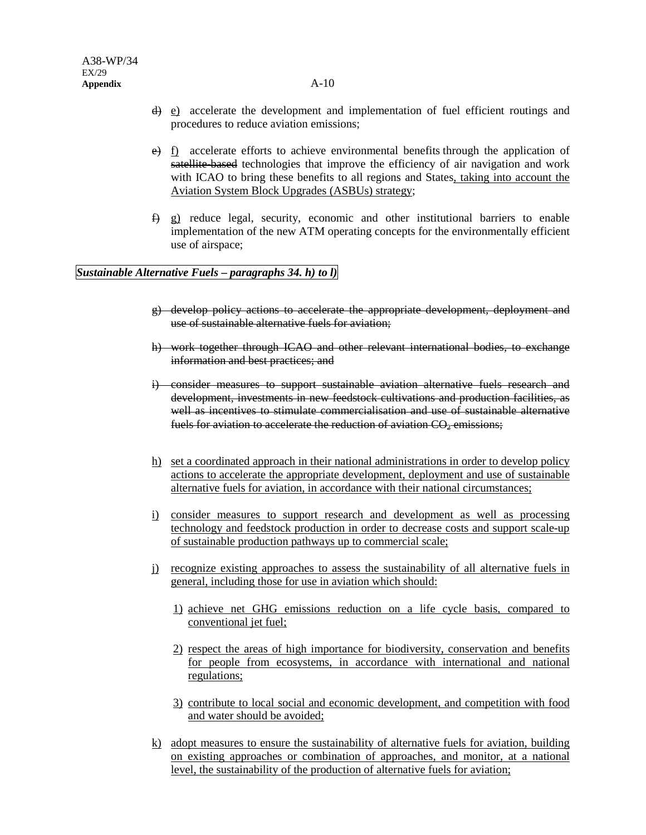- d) e) accelerate the development and implementation of fuel efficient routings and procedures to reduce aviation emissions;
- $\frac{e}{f}$  f) accelerate efforts to achieve environmental benefits through the application of satellite-based technologies that improve the efficiency of air navigation and work with ICAO to bring these benefits to all regions and States, taking into account the Aviation System Block Upgrades (ASBUs) strategy;
- $\oplus$  g) reduce legal, security, economic and other institutional barriers to enable implementation of the new ATM operating concepts for the environmentally efficient use of airspace;

#### *Sustainable Alternative Fuels – paragraphs 34. h) to l)*

- g) develop policy actions to accelerate the appropriate development, deployment and use of sustainable alternative fuels for aviation;
- h) work together through ICAO and other relevant international bodies, to exchange information and best practices; and
- i) consider measures to support sustainable aviation alternative fuels research and development, investments in new feedstock cultivations and production facilities, as well as incentives to stimulate commercialisation and use of sustainable alternative fuels for aviation to accelerate the reduction of aviation CO<sub>2</sub> emissions;
- h) set a coordinated approach in their national administrations in order to develop policy actions to accelerate the appropriate development, deployment and use of sustainable alternative fuels for aviation, in accordance with their national circumstances;
- i) consider measures to support research and development as well as processing technology and feedstock production in order to decrease costs and support scale-up of sustainable production pathways up to commercial scale;
- j) recognize existing approaches to assess the sustainability of all alternative fuels in general, including those for use in aviation which should:
	- 1) achieve net GHG emissions reduction on a life cycle basis, compared to conventional jet fuel;
	- 2) respect the areas of high importance for biodiversity, conservation and benefits for people from ecosystems, in accordance with international and national regulations;
	- 3) contribute to local social and economic development, and competition with food and water should be avoided;
- k) adopt measures to ensure the sustainability of alternative fuels for aviation, building on existing approaches or combination of approaches, and monitor, at a national level, the sustainability of the production of alternative fuels for aviation;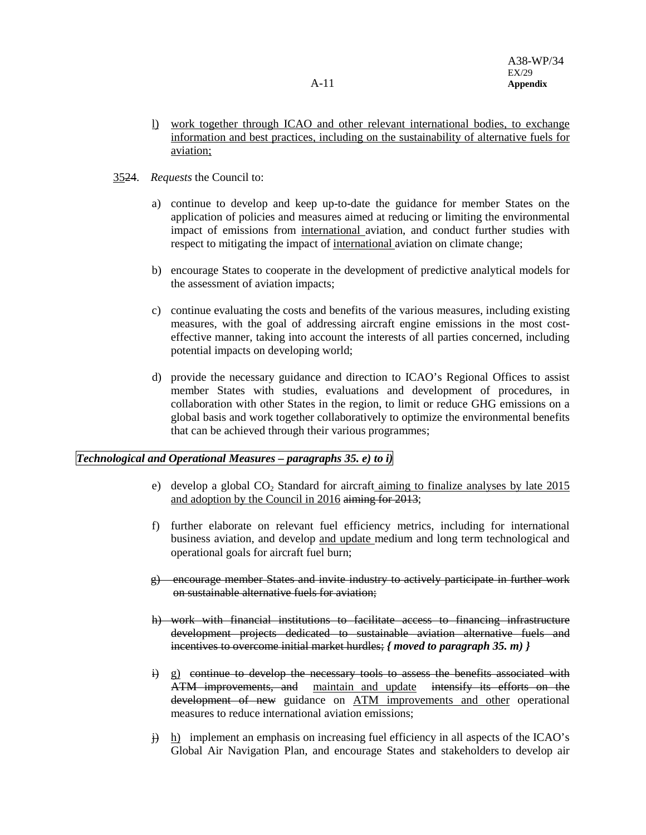- l) work together through ICAO and other relevant international bodies, to exchange information and best practices, including on the sustainability of alternative fuels for aviation;
- 3524. *Requests* the Council to:
	- a) continue to develop and keep up-to-date the guidance for member States on the application of policies and measures aimed at reducing or limiting the environmental impact of emissions from international aviation, and conduct further studies with respect to mitigating the impact of international aviation on climate change;
	- b) encourage States to cooperate in the development of predictive analytical models for the assessment of aviation impacts;
	- c) continue evaluating the costs and benefits of the various measures, including existing measures, with the goal of addressing aircraft engine emissions in the most costeffective manner, taking into account the interests of all parties concerned, including potential impacts on developing world;
	- d) provide the necessary guidance and direction to ICAO's Regional Offices to assist member States with studies, evaluations and development of procedures, in collaboration with other States in the region, to limit or reduce GHG emissions on a global basis and work together collaboratively to optimize the environmental benefits that can be achieved through their various programmes;

# *Technological and Operational Measures – paragraphs 35. e) to i)*

- e) develop a global  $CO<sub>2</sub>$  Standard for aircraft aiming to finalize analyses by late 2015 and adoption by the Council in 2016 aiming for 2013;
- f) further elaborate on relevant fuel efficiency metrics, including for international business aviation, and develop and update medium and long term technological and operational goals for aircraft fuel burn;
- g) encourage member States and invite industry to actively participate in further work on sustainable alternative fuels for aviation;
- h) work with financial institutions to facilitate access to financing infrastructure development projects dedicated to sustainable aviation alternative fuels and incentives to overcome initial market hurdles; *{ moved to paragraph 35. m) }*
- i) g) continue to develop the necessary tools to assess the benefits associated with ATM improvements, and maintain and update intensify its efforts on the development of new guidance on ATM improvements and other operational measures to reduce international aviation emissions;
- $\ddot{\theta}$  h) implement an emphasis on increasing fuel efficiency in all aspects of the ICAO's Global Air Navigation Plan, and encourage States and stakeholders to develop air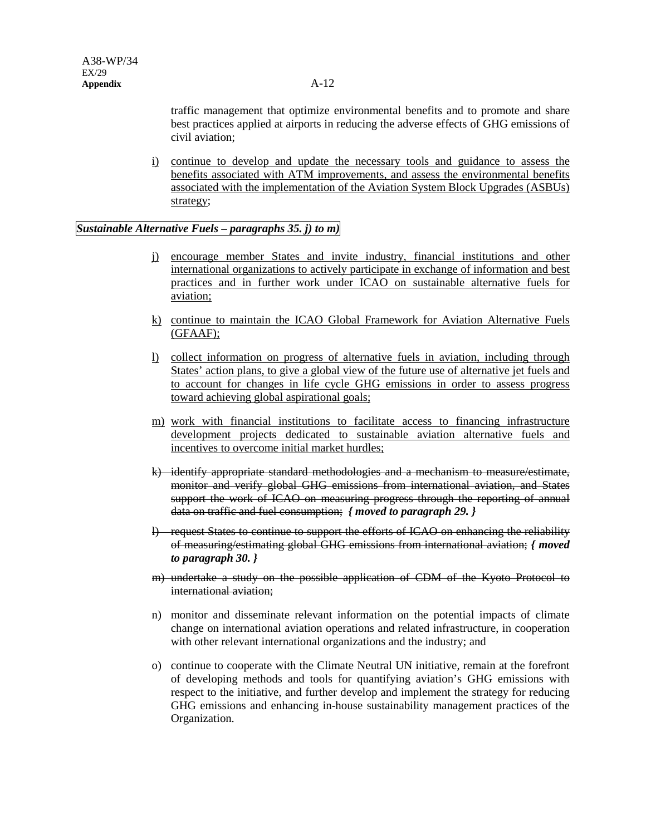traffic management that optimize environmental benefits and to promote and share best practices applied at airports in reducing the adverse effects of GHG emissions of civil aviation;

i) continue to develop and update the necessary tools and guidance to assess the benefits associated with ATM improvements, and assess the environmental benefits associated with the implementation of the Aviation System Block Upgrades (ASBUs) strategy;

## *Sustainable Alternative Fuels – paragraphs 35. j) to m)*

- j) encourage member States and invite industry, financial institutions and other international organizations to actively participate in exchange of information and best practices and in further work under ICAO on sustainable alternative fuels for aviation;
- k) continue to maintain the ICAO Global Framework for Aviation Alternative Fuels (GFAAF);
- l) collect information on progress of alternative fuels in aviation, including through States' action plans, to give a global view of the future use of alternative jet fuels and to account for changes in life cycle GHG emissions in order to assess progress toward achieving global aspirational goals;
- m) work with financial institutions to facilitate access to financing infrastructure development projects dedicated to sustainable aviation alternative fuels and incentives to overcome initial market hurdles;
- k) identify appropriate standard methodologies and a mechanism to measure/estimate, monitor and verify global GHG emissions from international aviation, and States support the work of ICAO on measuring progress through the reporting of annual data on traffic and fuel consumption; *{ moved to paragraph 29. }*
- l) request States to continue to support the efforts of ICAO on enhancing the reliability of measuring/estimating global GHG emissions from international aviation; *{ moved to paragraph 30. }*
- m) undertake a study on the possible application of CDM of the Kyoto Protocol to international aviation;
- n) monitor and disseminate relevant information on the potential impacts of climate change on international aviation operations and related infrastructure, in cooperation with other relevant international organizations and the industry; and
- o) continue to cooperate with the Climate Neutral UN initiative, remain at the forefront of developing methods and tools for quantifying aviation's GHG emissions with respect to the initiative, and further develop and implement the strategy for reducing GHG emissions and enhancing in-house sustainability management practices of the Organization.